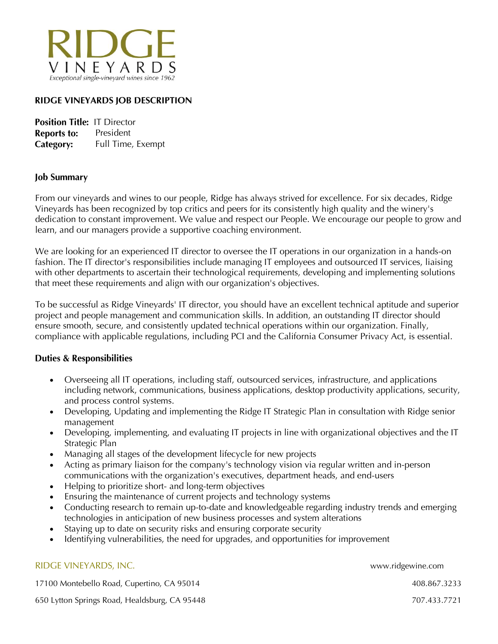

## **RIDGE VINEYARDS JOB DESCRIPTION**

| <b>Position Title: IT Director</b> |                   |
|------------------------------------|-------------------|
| <b>Reports to:</b>                 | President         |
| Category:                          | Full Time, Exempt |

#### **Job Summary**

From our vineyards and wines to our people, Ridge has always strived for excellence. For six decades, Ridge Vineyards has been recognized by top critics and peers for its consistently high quality and the winery's dedication to constant improvement. We value and respect our People. We encourage our people to grow and learn, and our managers provide a supportive coaching environment.

We are looking for an experienced IT director to oversee the IT operations in our organization in a hands-on fashion. The IT director's responsibilities include managing IT employees and outsourced IT services, liaising with other departments to ascertain their technological requirements, developing and implementing solutions that meet these requirements and align with our organization's objectives.

To be successful as Ridge Vineyards' IT director, you should have an excellent technical aptitude and superior project and people management and communication skills. In addition, an outstanding IT director should ensure smooth, secure, and consistently updated technical operations within our organization. Finally, compliance with applicable regulations, including PCI and the California Consumer Privacy Act, is essential.

# **Duties & Responsibilities**

- Overseeing all IT operations, including staff, outsourced services, infrastructure, and applications including network, communications, business applications, desktop productivity applications, security, and process control systems.
- Developing, Updating and implementing the Ridge IT Strategic Plan in consultation with Ridge senior management
- Developing, implementing, and evaluating IT projects in line with organizational objectives and the IT Strategic Plan
- Managing all stages of the development lifecycle for new projects
- Acting as primary liaison for the company's technology vision via regular written and in-person communications with the organization's executives, department heads, and end-users
- Helping to prioritize short- and long-term objectives
- Ensuring the maintenance of current projects and technology systems
- Conducting research to remain up-to-date and knowledgeable regarding industry trends and emerging technologies in anticipation of new business processes and system alterations
- Staying up to date on security risks and ensuring corporate security
- Identifying vulnerabilities, the need for upgrades, and opportunities for improvement

# RIDGE VINEYARDS, INC. www.ridgewine.com

17100 Montebello Road, Cupertino, CA 95014 408.867.3233

650 Lytton Springs Road, Healdsburg, CA 95448 707.433.7721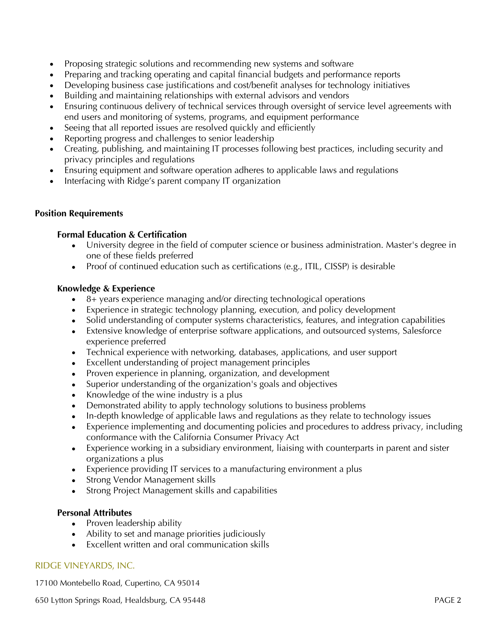- Proposing strategic solutions and recommending new systems and software
- Preparing and tracking operating and capital financial budgets and performance reports
- Developing business case justifications and cost/benefit analyses for technology initiatives
- Building and maintaining relationships with external advisors and vendors
- Ensuring continuous delivery of technical services through oversight of service level agreements with end users and monitoring of systems, programs, and equipment performance
- Seeing that all reported issues are resolved quickly and efficiently
- Reporting progress and challenges to senior leadership
- Creating, publishing, and maintaining IT processes following best practices, including security and privacy principles and regulations
- Ensuring equipment and software operation adheres to applicable laws and regulations
- Interfacing with Ridge's parent company IT organization

## **Position Requirements**

## **Formal Education & Certification**

- University degree in the field of computer science or business administration. Master's degree in one of these fields preferred
- Proof of continued education such as certifications (e.g., ITIL, CISSP) is desirable

# Knowledge & Experience

- 8+ years experience managing and/or directing technological operations
- Experience in strategic technology planning, execution, and policy development
- Solid understanding of computer systems characteristics, features, and integration capabilities
- Extensive knowledge of enterprise software applications, and outsourced systems, Salesforce experience preferred
- Technical experience with networking, databases, applications, and user support
- Excellent understanding of project management principles
- Proven experience in planning, organization, and development
- Superior understanding of the organization's goals and objectives
- Knowledge of the wine industry is a plus
- Demonstrated ability to apply technology solutions to business problems
- In-depth knowledge of applicable laws and regulations as they relate to technology issues
- Experience implementing and documenting policies and procedures to address privacy, including conformance with the California Consumer Privacy Act
- Experience working in a subsidiary environment, liaising with counterparts in parent and sister organizations a plus
- Experience providing IT services to a manufacturing environment a plus
- Strong Vendor Management skills
- Strong Project Management skills and capabilities

#### **Personal Attributes**

- Proven leadership ability
- Ability to set and manage priorities judiciously
- Excellent written and oral communication skills

# RIDGE VINEYARDS, INC.

17100 Montebello Road, Cupertino, CA 95014